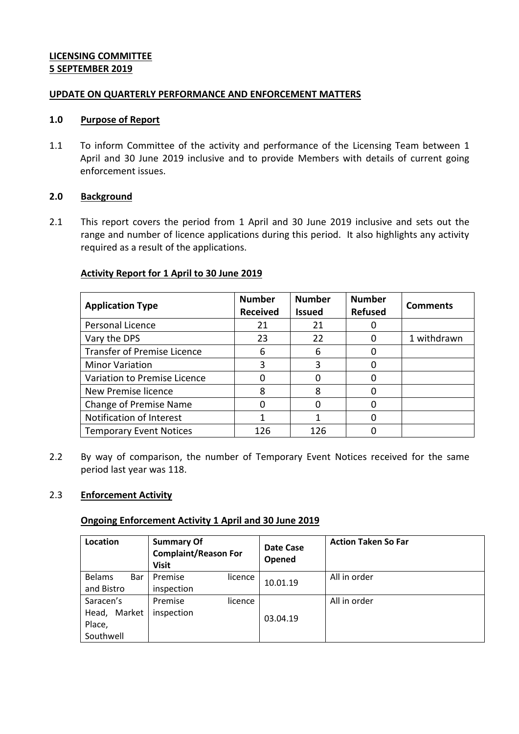# **LICENSING COMMITTEE 5 SEPTEMBER 2019**

### **UPDATE ON QUARTERLY PERFORMANCE AND ENFORCEMENT MATTERS**

#### **1.0 Purpose of Report**

1.1 To inform Committee of the activity and performance of the Licensing Team between 1 April and 30 June 2019 inclusive and to provide Members with details of current going enforcement issues.

### **2.0 Background**

2.1 This report covers the period from 1 April and 30 June 2019 inclusive and sets out the range and number of licence applications during this period. It also highlights any activity required as a result of the applications.

# **Activity Report for 1 April to 30 June 2019**

| <b>Application Type</b>            | <b>Number</b><br><b>Received</b> | <b>Number</b><br><b>Issued</b> | <b>Number</b><br><b>Refused</b> | <b>Comments</b> |
|------------------------------------|----------------------------------|--------------------------------|---------------------------------|-----------------|
| Personal Licence                   | 21                               | 21                             |                                 |                 |
| Vary the DPS                       | 23                               | 22                             | O                               | 1 withdrawn     |
| <b>Transfer of Premise Licence</b> | 6                                | 6                              |                                 |                 |
| <b>Minor Variation</b>             | 3                                | 3                              | O                               |                 |
| Variation to Premise Licence       | 0                                |                                | O                               |                 |
| New Premise licence                | 8                                | 8                              |                                 |                 |
| Change of Premise Name             | 0                                |                                | ი                               |                 |
| Notification of Interest           |                                  |                                | O                               |                 |
| <b>Temporary Event Notices</b>     | 126                              | 126                            |                                 |                 |

2.2 By way of comparison, the number of Temporary Event Notices received for the same period last year was 118.

# 2.3 **Enforcement Activity**

#### **Ongoing Enforcement Activity 1 April and 30 June 2019**

| Location                                            | <b>Summary Of</b><br><b>Complaint/Reason For</b><br><b>Visit</b> | Date Case<br><b>Opened</b> | <b>Action Taken So Far</b> |
|-----------------------------------------------------|------------------------------------------------------------------|----------------------------|----------------------------|
| <b>Belams</b><br>Bar<br>and Bistro                  | Premise<br>licence<br>inspection                                 | 10.01.19                   | All in order               |
| Saracen's<br>Market<br>Head,<br>Place,<br>Southwell | Premise<br>licence<br>inspection                                 | 03.04.19                   | All in order               |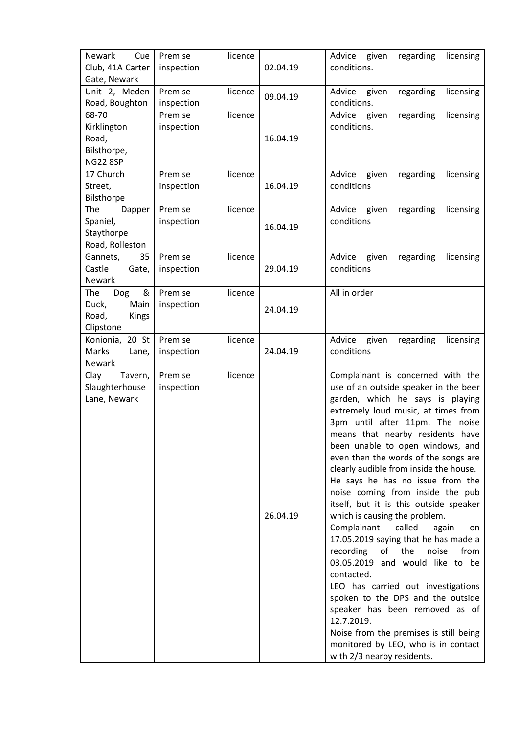| Newark<br>Cue    | Premise    | licence |          | Advice given<br>regarding<br>licensing    |
|------------------|------------|---------|----------|-------------------------------------------|
| Club, 41A Carter | inspection |         | 02.04.19 | conditions.                               |
| Gate, Newark     |            |         |          |                                           |
| Unit 2, Meden    | Premise    | licence | 09.04.19 | Advice<br>given<br>regarding<br>licensing |
| Road, Boughton   | inspection |         |          | conditions.                               |
| 68-70            | Premise    | licence |          | licensing<br>Advice<br>regarding<br>given |
| Kirklington      | inspection |         |          | conditions.                               |
| Road,            |            |         | 16.04.19 |                                           |
| Bilsthorpe,      |            |         |          |                                           |
| <b>NG22 8SP</b>  |            |         |          |                                           |
| 17 Church        | Premise    | licence |          | Advice<br>given<br>regarding<br>licensing |
| Street,          | inspection |         | 16.04.19 | conditions                                |
| Bilsthorpe       |            |         |          |                                           |
| The<br>Dapper    | Premise    | licence |          | Advice<br>licensing<br>given<br>regarding |
| Spaniel,         | inspection |         |          | conditions                                |
| Staythorpe       |            |         | 16.04.19 |                                           |
| Road, Rolleston  |            |         |          |                                           |
| 35<br>Gannets,   | Premise    | licence |          | Advice<br>given<br>regarding<br>licensing |
| Castle<br>Gate,  | inspection |         | 29.04.19 | conditions                                |
| Newark           |            |         |          |                                           |
| &<br>The<br>Dog  | Premise    | licence |          | All in order                              |
| Main<br>Duck,    | inspection |         |          |                                           |
| Road,<br>Kings   |            |         | 24.04.19 |                                           |
| Clipstone        |            |         |          |                                           |
| Konionia, 20 St  | Premise    | licence |          | Advice<br>given<br>regarding<br>licensing |
| Marks<br>Lane,   | inspection |         | 24.04.19 | conditions                                |
| Newark           |            |         |          |                                           |
| Clay<br>Tavern,  | Premise    | licence |          | Complainant is concerned with the         |
| Slaughterhouse   | inspection |         |          | use of an outside speaker in the beer     |
| Lane, Newark     |            |         |          | garden, which he says is playing          |
|                  |            |         |          | extremely loud music, at times from       |
|                  |            |         |          | 3pm until after 11pm. The noise           |
|                  |            |         |          | means that nearby residents have          |
|                  |            |         |          | been unable to open windows, and          |
|                  |            |         |          | even then the words of the songs are      |
|                  |            |         |          | clearly audible from inside the house.    |
|                  |            |         |          | He says he has no issue from the          |
|                  |            |         |          | noise coming from inside the pub          |
|                  |            |         |          | itself, but it is this outside speaker    |
|                  |            |         | 26.04.19 | which is causing the problem.             |
|                  |            |         |          | Complainant<br>called<br>again<br>on      |
|                  |            |         |          | 17.05.2019 saying that he has made a      |
|                  |            |         |          | recording<br>of<br>the<br>noise<br>from   |
|                  |            |         |          | 03.05.2019 and would like to be           |
|                  |            |         |          | contacted.                                |
|                  |            |         |          | LEO has carried out investigations        |
|                  |            |         |          | spoken to the DPS and the outside         |
|                  |            |         |          | speaker has been removed as of            |
|                  |            |         |          | 12.7.2019.                                |
|                  |            |         |          | Noise from the premises is still being    |
|                  |            |         |          | monitored by LEO, who is in contact       |
|                  |            |         |          | with 2/3 nearby residents.                |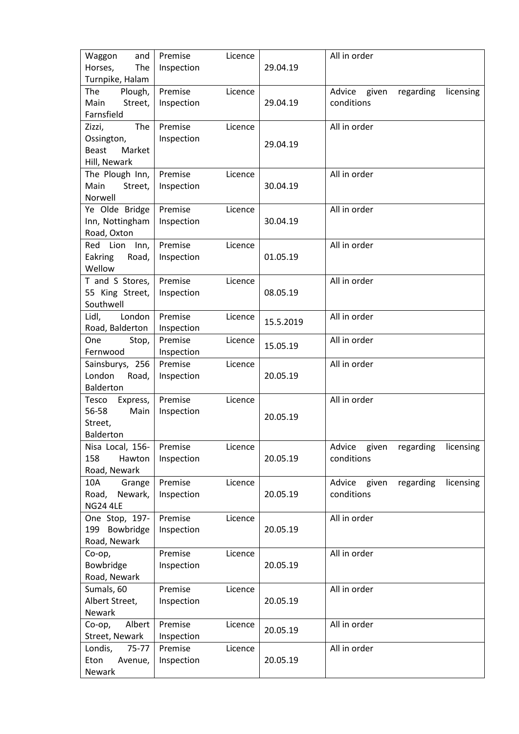| Waggon<br>and<br>Horses,<br>The                                       | Premise<br>Licence<br>Inspection | 29.04.19  | All in order                                            |
|-----------------------------------------------------------------------|----------------------------------|-----------|---------------------------------------------------------|
| Turnpike, Halam<br>The<br>Plough,<br>Main<br>Street,<br>Farnsfield    | Premise<br>Licence<br>Inspection | 29.04.19  | Advice<br>given<br>regarding<br>licensing<br>conditions |
| The<br>Zizzi,<br>Ossington,<br>Market<br><b>Beast</b><br>Hill, Newark | Premise<br>Licence<br>Inspection | 29.04.19  | All in order                                            |
| The Plough Inn,<br>Main<br>Street,<br>Norwell                         | Premise<br>Licence<br>Inspection | 30.04.19  | All in order                                            |
| Ye Olde Bridge<br>Inn, Nottingham<br>Road, Oxton                      | Premise<br>Licence<br>Inspection | 30.04.19  | All in order                                            |
| Red Lion<br>Inn,<br>Eakring<br>Road,<br>Wellow                        | Premise<br>Licence<br>Inspection | 01.05.19  | All in order                                            |
| T and S Stores,<br>55 King Street,<br>Southwell                       | Premise<br>Licence<br>Inspection | 08.05.19  | All in order                                            |
| London<br>Lidl,<br>Road, Balderton                                    | Premise<br>Licence<br>Inspection | 15.5.2019 | All in order                                            |
| One<br>Stop,<br>Fernwood                                              | Premise<br>Licence<br>Inspection | 15.05.19  | All in order                                            |
| Sainsburys, 256<br>London<br>Road,<br>Balderton                       | Premise<br>Licence<br>Inspection | 20.05.19  | All in order                                            |
| Express,<br>Tesco<br>Main<br>56-58<br>Street,<br>Balderton            | Premise<br>Licence<br>Inspection | 20.05.19  | All in order                                            |
| Nisa Local, 156-<br>158<br>Hawton<br>Road, Newark                     | Premise<br>Licence<br>Inspection | 20.05.19  | Advice<br>given<br>regarding<br>licensing<br>conditions |
| 10A<br>Grange<br>Road,<br>Newark,<br><b>NG24 4LE</b>                  | Premise<br>Licence<br>Inspection | 20.05.19  | Advice<br>given<br>regarding<br>licensing<br>conditions |
| One Stop, 197-<br>199 Bowbridge<br>Road, Newark                       | Premise<br>Licence<br>Inspection | 20.05.19  | All in order                                            |
| Co-op,<br>Bowbridge<br>Road, Newark                                   | Premise<br>Licence<br>Inspection | 20.05.19  | All in order                                            |
| Sumals, 60<br>Albert Street,<br>Newark                                | Premise<br>Licence<br>Inspection | 20.05.19  | All in order                                            |
| Albert<br>Co-op,<br>Street, Newark                                    | Premise<br>Licence<br>Inspection | 20.05.19  | All in order                                            |
| 75-77<br>Londis,<br>Eton<br>Avenue,<br>Newark                         | Premise<br>Licence<br>Inspection | 20.05.19  | All in order                                            |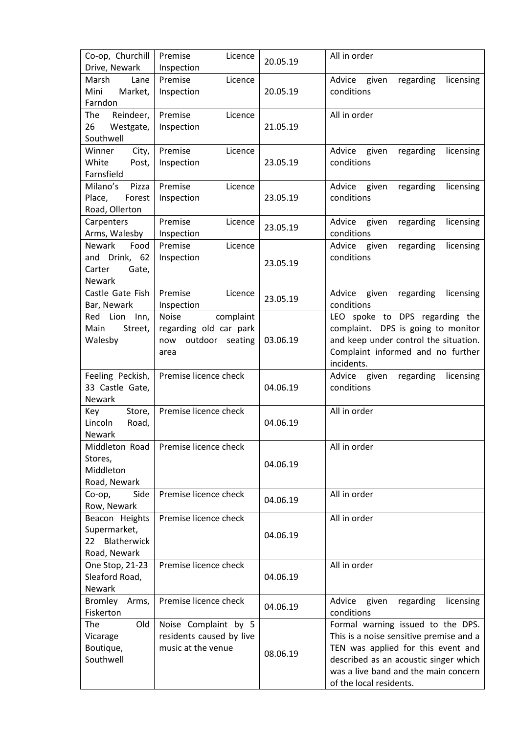| Co-op, Churchill<br>Drive, Newark                                   | Premise<br>Licence<br>Inspection                                                      | 20.05.19 | All in order                                                                                                                                                                                                                   |
|---------------------------------------------------------------------|---------------------------------------------------------------------------------------|----------|--------------------------------------------------------------------------------------------------------------------------------------------------------------------------------------------------------------------------------|
| Marsh<br>Lane<br>Mini<br>Market,<br>Farndon                         | Premise<br>Licence<br>Inspection                                                      | 20.05.19 | Advice<br>given<br>regarding<br>licensing<br>conditions                                                                                                                                                                        |
| The<br>Reindeer,<br>26<br>Westgate,<br>Southwell                    | Premise<br>Licence<br>Inspection                                                      | 21.05.19 | All in order                                                                                                                                                                                                                   |
| Winner<br>City,<br>White<br>Post,<br>Farnsfield                     | Premise<br>Licence<br>Inspection                                                      | 23.05.19 | Advice given regarding<br>licensing<br>conditions                                                                                                                                                                              |
| Milano's<br>Pizza<br>Place,<br>Forest<br>Road, Ollerton             | Premise<br>Licence<br>Inspection                                                      | 23.05.19 | Advice<br>given<br>regarding<br>licensing<br>conditions                                                                                                                                                                        |
| Carpenters<br>Arms, Walesby                                         | Premise<br>Licence<br>Inspection                                                      | 23.05.19 | Advice<br>given<br>regarding<br>licensing<br>conditions                                                                                                                                                                        |
| Newark<br>Food<br>and Drink, 62<br>Carter<br>Gate,<br><b>Newark</b> | Premise<br>Licence<br>Inspection                                                      | 23.05.19 | Advice<br>given<br>regarding<br>licensing<br>conditions                                                                                                                                                                        |
| Castle Gate Fish<br>Bar, Newark                                     | Premise<br>Licence<br>Inspection                                                      | 23.05.19 | Advice<br>given<br>regarding<br>licensing<br>conditions                                                                                                                                                                        |
| Red Lion Inn,<br>Main<br>Street,<br>Walesby                         | <b>Noise</b><br>complaint<br>regarding old car park<br>outdoor seating<br>now<br>area | 03.06.19 | LEO spoke to DPS regarding the<br>complaint. DPS is going to monitor<br>and keep under control the situation.<br>Complaint informed and no further<br>incidents.                                                               |
| Feeling Peckish,<br>33 Castle Gate,<br>Newark                       | Premise licence check                                                                 | 04.06.19 | licensing<br>Advice given<br>regarding<br>conditions                                                                                                                                                                           |
| Key<br>Store,<br>Lincoln<br>Road,<br><b>Newark</b>                  | Premise licence check                                                                 | 04.06.19 | All in order                                                                                                                                                                                                                   |
| Middleton Road<br>Stores,<br>Middleton<br>Road, Newark              | Premise licence check                                                                 | 04.06.19 | All in order                                                                                                                                                                                                                   |
| Co-op,<br>Side<br>Row, Newark                                       | Premise licence check                                                                 | 04.06.19 | All in order                                                                                                                                                                                                                   |
| Beacon Heights<br>Supermarket,<br>Blatherwick<br>22<br>Road, Newark | Premise licence check                                                                 | 04.06.19 | All in order                                                                                                                                                                                                                   |
| One Stop, 21-23<br>Sleaford Road,<br>Newark                         | Premise licence check                                                                 | 04.06.19 | All in order                                                                                                                                                                                                                   |
| <b>Bromley</b><br>Arms,<br>Fiskerton                                | Premise licence check                                                                 | 04.06.19 | Advice<br>given<br>regarding<br>licensing<br>conditions                                                                                                                                                                        |
| The<br>Old<br>Vicarage<br>Boutique,<br>Southwell                    | Noise Complaint by 5<br>residents caused by live<br>music at the venue                | 08.06.19 | Formal warning issued to the DPS.<br>This is a noise sensitive premise and a<br>TEN was applied for this event and<br>described as an acoustic singer which<br>was a live band and the main concern<br>of the local residents. |